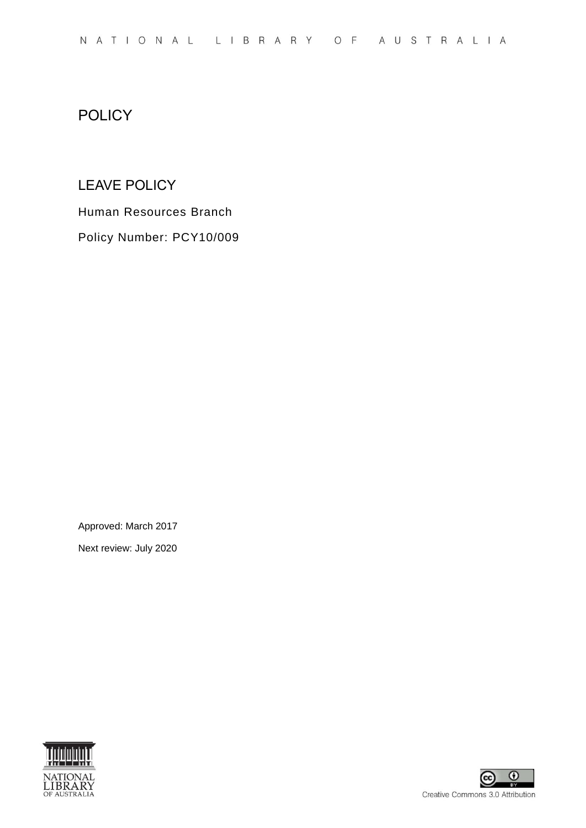#### **POLICY**

#### LEAVE POLICY

Human Resources Branch Policy Number: PCY10/009

Approved: March 2017

Next review: July 2020



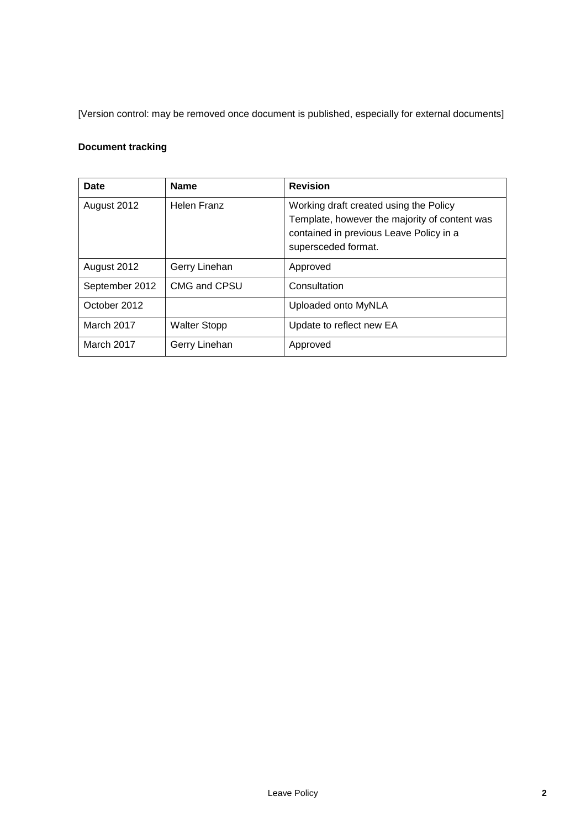[Version control: may be removed once document is published, especially for external documents]

#### **Document tracking**

| Date           | <b>Name</b>         | <b>Revision</b>                                                                                                                                           |
|----------------|---------------------|-----------------------------------------------------------------------------------------------------------------------------------------------------------|
| August 2012    | Helen Franz         | Working draft created using the Policy<br>Template, however the majority of content was<br>contained in previous Leave Policy in a<br>supersceded format. |
| August 2012    | Gerry Linehan       | Approved                                                                                                                                                  |
| September 2012 | CMG and CPSU        | Consultation                                                                                                                                              |
| October 2012   |                     | Uploaded onto MyNLA                                                                                                                                       |
| March 2017     | <b>Walter Stopp</b> | Update to reflect new EA                                                                                                                                  |
| March 2017     | Gerry Linehan       | Approved                                                                                                                                                  |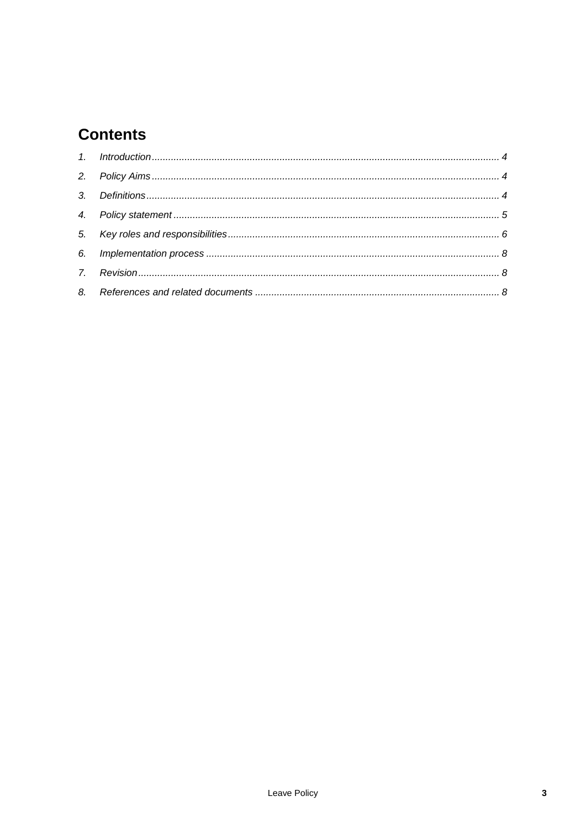# **Contents**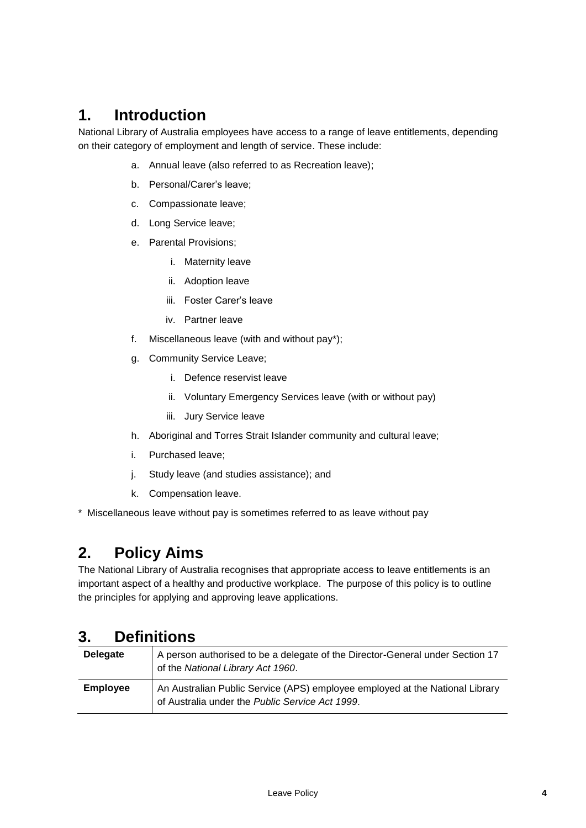# <span id="page-3-0"></span>**1. Introduction**

National Library of Australia employees have access to a range of leave entitlements, depending on their category of employment and length of service. These include:

- a. Annual leave (also referred to as Recreation leave);
- b. Personal/Carer's leave;
- c. Compassionate leave;
- d. Long Service leave;
- e. Parental Provisions;
	- i. Maternity leave
	- ii. Adoption leave
	- iii. Foster Carer's leave
	- iv. Partner leave
- f. Miscellaneous leave (with and without pay\*);
- g. Community Service Leave;
	- i. Defence reservist leave
	- ii. Voluntary Emergency Services leave (with or without pay)
	- iii. Jury Service leave
- h. Aboriginal and Torres Strait Islander community and cultural leave;
- i. Purchased leave;
- j. Study leave (and studies assistance); and
- k. Compensation leave.
- \* Miscellaneous leave without pay is sometimes referred to as leave without pay

# <span id="page-3-1"></span>**2. Policy Aims**

The National Library of Australia recognises that appropriate access to leave entitlements is an important aspect of a healthy and productive workplace. The purpose of this policy is to outline the principles for applying and approving leave applications.

#### <span id="page-3-2"></span>**3. Definitions**

| <b>Delegate</b> | A person authorised to be a delegate of the Director-General under Section 17<br>of the National Library Act 1960.              |
|-----------------|---------------------------------------------------------------------------------------------------------------------------------|
| <b>Employee</b> | An Australian Public Service (APS) employee employed at the National Library<br>of Australia under the Public Service Act 1999. |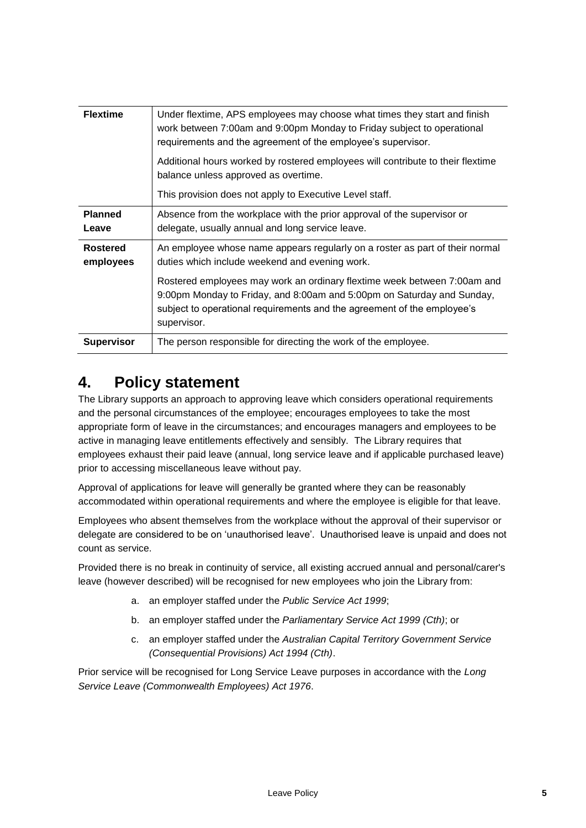| <b>Flextime</b>              | Under flextime, APS employees may choose what times they start and finish<br>work between 7:00am and 9:00pm Monday to Friday subject to operational<br>requirements and the agreement of the employee's supervisor.<br>Additional hours worked by rostered employees will contribute to their flextime<br>balance unless approved as overtime.<br>This provision does not apply to Executive Level staff. |
|------------------------------|-----------------------------------------------------------------------------------------------------------------------------------------------------------------------------------------------------------------------------------------------------------------------------------------------------------------------------------------------------------------------------------------------------------|
| <b>Planned</b><br>Leave      | Absence from the workplace with the prior approval of the supervisor or<br>delegate, usually annual and long service leave.                                                                                                                                                                                                                                                                               |
| <b>Rostered</b><br>employees | An employee whose name appears regularly on a roster as part of their normal<br>duties which include weekend and evening work.<br>Rostered employees may work an ordinary flextime week between 7:00am and<br>9:00pm Monday to Friday, and 8:00am and 5:00pm on Saturday and Sunday,<br>subject to operational requirements and the agreement of the employee's<br>supervisor.                            |
| <b>Supervisor</b>            | The person responsible for directing the work of the employee.                                                                                                                                                                                                                                                                                                                                            |

## <span id="page-4-0"></span>**4. Policy statement**

The Library supports an approach to approving leave which considers operational requirements and the personal circumstances of the employee; encourages employees to take the most appropriate form of leave in the circumstances; and encourages managers and employees to be active in managing leave entitlements effectively and sensibly. The Library requires that employees exhaust their paid leave (annual, long service leave and if applicable purchased leave) prior to accessing miscellaneous leave without pay.

Approval of applications for leave will generally be granted where they can be reasonably accommodated within operational requirements and where the employee is eligible for that leave.

Employees who absent themselves from the workplace without the approval of their supervisor or delegate are considered to be on 'unauthorised leave'. Unauthorised leave is unpaid and does not count as service.

Provided there is no break in continuity of service, all existing accrued annual and personal/carer's leave (however described) will be recognised for new employees who join the Library from:

- a. an employer staffed under the *Public Service Act 1999*;
- b. an employer staffed under the *Parliamentary Service Act 1999 (Cth)*; or
- c. an employer staffed under the *Australian Capital Territory Government Service (Consequential Provisions) Act 1994 (Cth)*.

Prior service will be recognised for Long Service Leave purposes in accordance with the *Long Service Leave (Commonwealth Employees) Act 1976*.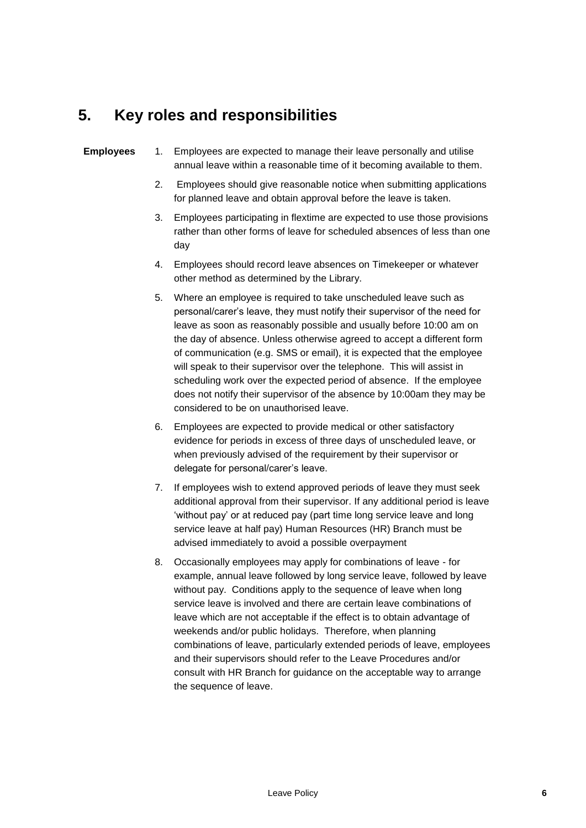### <span id="page-5-0"></span>**5. Key roles and responsibilities**

#### **Employees** 1. Employees are expected to manage their leave personally and utilise annual leave within a reasonable time of it becoming available to them.

- 2. Employees should give reasonable notice when submitting applications for planned leave and obtain approval before the leave is taken.
- 3. Employees participating in flextime are expected to use those provisions rather than other forms of leave for scheduled absences of less than one day
- 4. Employees should record leave absences on Timekeeper or whatever other method as determined by the Library.
- 5. Where an employee is required to take unscheduled leave such as personal/carer's leave, they must notify their supervisor of the need for leave as soon as reasonably possible and usually before 10:00 am on the day of absence. Unless otherwise agreed to accept a different form of communication (e.g. SMS or email), it is expected that the employee will speak to their supervisor over the telephone. This will assist in scheduling work over the expected period of absence. If the employee does not notify their supervisor of the absence by 10:00am they may be considered to be on unauthorised leave.
- 6. Employees are expected to provide medical or other satisfactory evidence for periods in excess of three days of unscheduled leave, or when previously advised of the requirement by their supervisor or delegate for personal/carer's leave.
- 7. If employees wish to extend approved periods of leave they must seek additional approval from their supervisor. If any additional period is leave 'without pay' or at reduced pay (part time long service leave and long service leave at half pay) Human Resources (HR) Branch must be advised immediately to avoid a possible overpayment
- 8. Occasionally employees may apply for combinations of leave for example, annual leave followed by long service leave, followed by leave without pay. Conditions apply to the sequence of leave when long service leave is involved and there are certain leave combinations of leave which are not acceptable if the effect is to obtain advantage of weekends and/or public holidays. Therefore, when planning combinations of leave, particularly extended periods of leave, employees and their supervisors should refer to the Leave Procedures and/or consult with HR Branch for guidance on the acceptable way to arrange the sequence of leave.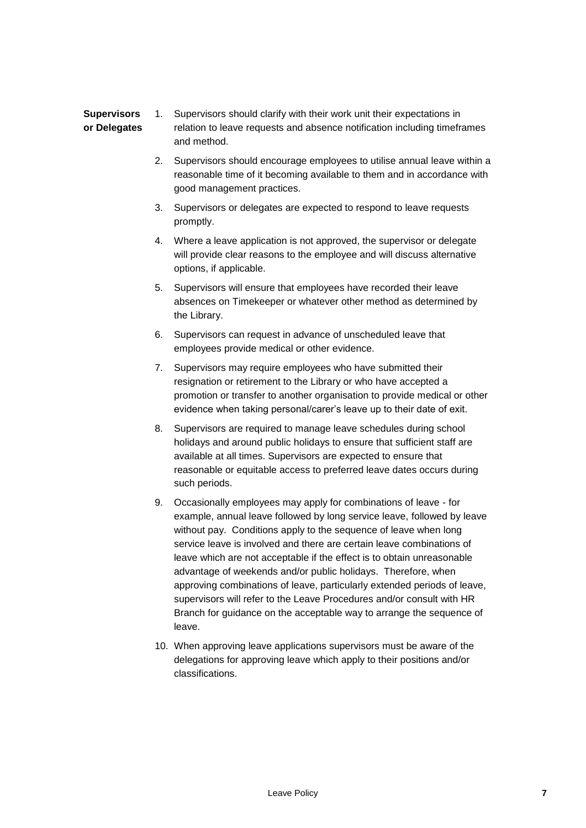#### **Supervisors or Delegates** 1. Supervisors should clarify with their work unit their expectations in relation to leave requests and absence notification including timeframes and method.

- 2. Supervisors should encourage employees to utilise annual leave within a reasonable time of it becoming available to them and in accordance with good management practices.
- 3. Supervisors or delegates are expected to respond to leave requests promptly.
- 4. Where a leave application is not approved, the supervisor or delegate will provide clear reasons to the employee and will discuss alternative options, if applicable.
- 5. Supervisors will ensure that employees have recorded their leave absences on Timekeeper or whatever other method as determined by the Library.
- 6. Supervisors can request in advance of unscheduled leave that employees provide medical or other evidence.
- 7. Supervisors may require employees who have submitted their resignation or retirement to the Library or who have accepted a promotion or transfer to another organisation to provide medical or other evidence when taking personal/carer's leave up to their date of exit.
- 8. Supervisors are required to manage leave schedules during school holidays and around public holidays to ensure that sufficient staff are available at all times. Supervisors are expected to ensure that reasonable or equitable access to preferred leave dates occurs during such periods.
- 9. Occasionally employees may apply for combinations of leave for example, annual leave followed by long service leave, followed by leave without pay. Conditions apply to the sequence of leave when long service leave is involved and there are certain leave combinations of leave which are not acceptable if the effect is to obtain unreasonable advantage of weekends and/or public holidays. Therefore, when approving combinations of leave, particularly extended periods of leave, supervisors will refer to the Leave Procedures and/or consult with HR Branch for guidance on the acceptable way to arrange the sequence of leave.
- 10. When approving leave applications supervisors must be aware of the delegations for approving leave which apply to their positions and/or classifications.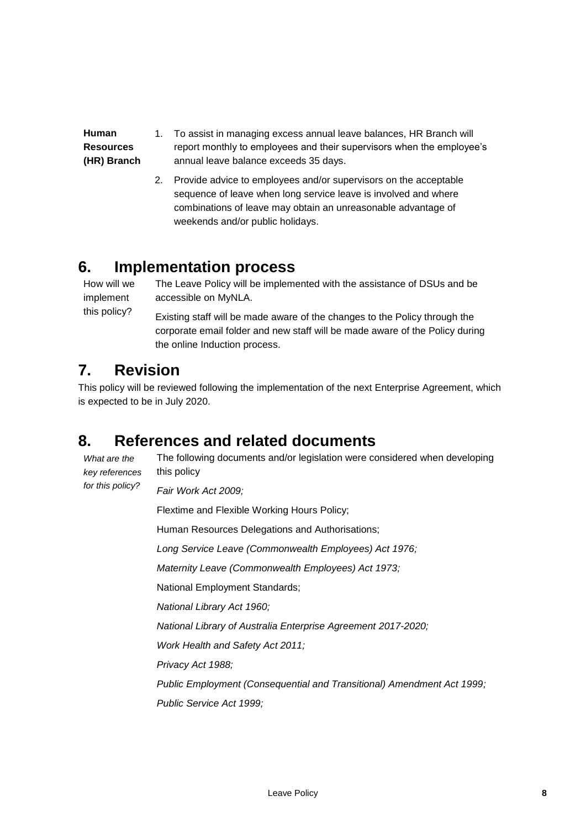**Human Resources (HR) Branch** 1. To assist in managing excess annual leave balances, HR Branch will report monthly to employees and their supervisors when the employee's annual leave balance exceeds 35 days.

> 2. Provide advice to employees and/or supervisors on the acceptable sequence of leave when long service leave is involved and where combinations of leave may obtain an unreasonable advantage of weekends and/or public holidays.

#### <span id="page-7-0"></span>**6. Implementation process**

How will we implement this policy? The Leave Policy will be implemented with the assistance of DSUs and be accessible on MyNLA. Existing staff will be made aware of the changes to the Policy through the corporate email folder and new staff will be made aware of the Policy during the online Induction process.

## <span id="page-7-1"></span>**7. Revision**

This policy will be reviewed following the implementation of the next Enterprise Agreement, which is expected to be in July 2020.

# <span id="page-7-2"></span>**8. References and related documents**

*What are the key references for this policy?*

The following documents and/or legislation were considered when developing this policy

*Fair Work Act 2009;*

Flextime and Flexible Working Hours Policy; Human Resources Delegations and Authorisations; *Long Service Leave (Commonwealth Employees) Act 1976; Maternity Leave (Commonwealth Employees) Act 1973;* National Employment Standards; *National Library Act 1960; National Library of Australia Enterprise Agreement 2017-2020; Work Health and Safety Act 2011; Privacy Act 1988; Public Employment (Consequential and Transitional) Amendment Act 1999; Public Service Act 1999;*